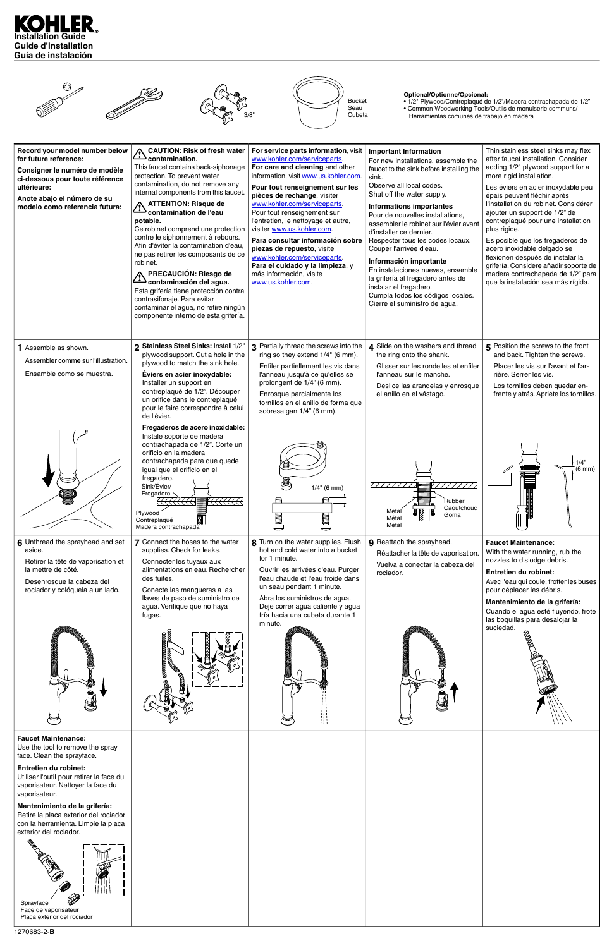



| $\cong$                                                                                                                                 | Ш<br>TH.<br>Ti t<br>擸 | M |  |
|-----------------------------------------------------------------------------------------------------------------------------------------|-----------------------|---|--|
| <b>Faucet Maintenance:</b><br>Use the tool to remove the spray<br>face. Clean the sprayface.                                            |                       |   |  |
| Entretien du robinet:<br>Utiliser l'outil pour retirer la face du<br>vaporisateur. Nettoyer la face du<br>vaporisateur.                 |                       |   |  |
| Mantenimiento de la grifería:<br>Retire la placa exterior del rociador<br>con la herramienta. Limpie la placa<br>exterior del rociador. |                       |   |  |
| E<br><b>D</b><br>Sprayface<br>Face de vaporisateur<br>Placa exterior del rociador                                                       |                       |   |  |